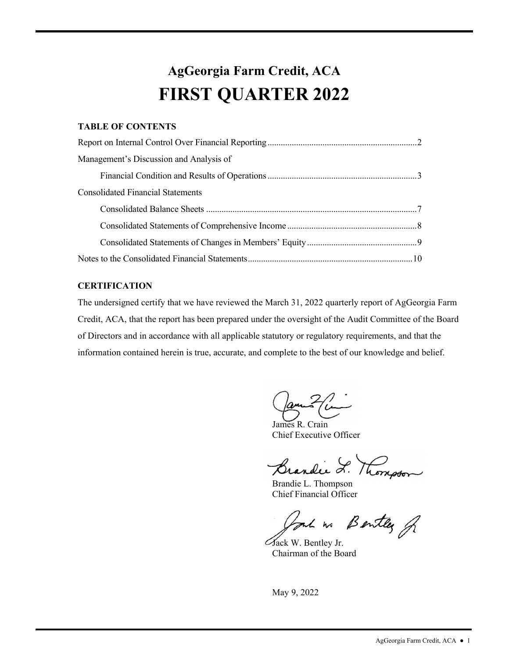### **AgGeorgia Farm Credit, ACA FIRST QUARTER 2022**

### **TABLE OF CONTENTS**

| Management's Discussion and Analysis of  |  |
|------------------------------------------|--|
|                                          |  |
| <b>Consolidated Financial Statements</b> |  |
|                                          |  |
|                                          |  |
|                                          |  |
|                                          |  |

### **CERTIFICATION**

The undersigned certify that we have reviewed the March 31, 2022 quarterly report of AgGeorgia Farm Credit, ACA, that the report has been prepared under the oversight of the Audit Committee of the Board of Directors and in accordance with all applicable statutory or regulatory requirements, and that the information contained herein is true, accurate, and complete to the best of our knowledge and belief.

Camilla

James R. Crain Chief Executive Officer

Brandie L. Thomson

Brandie L. Thompson Chief Financial Officer

r~ */5~fi* 

Jack W. Bentley Jr. Chairman of the Board

May 9, 2022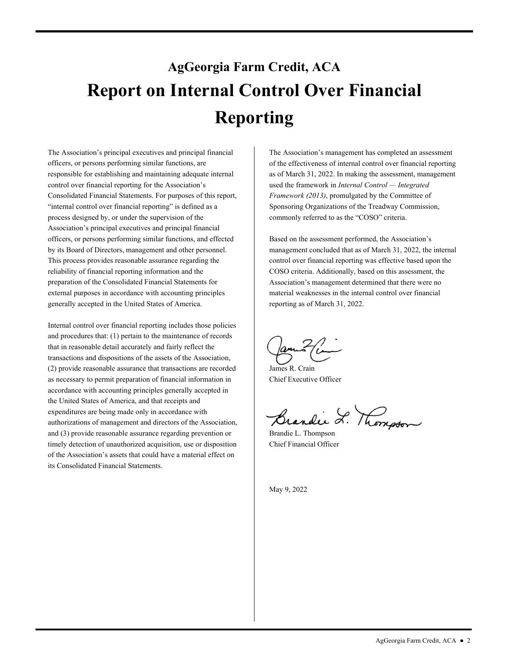# <span id="page-1-0"></span>**AgGeorgia Farm Credit, ACA Report on Internal Control Over Financial Reporting**

The Association's principal executives and principal financial officers, or persons performing similar functions, are responsible for establishing and maintaining adequate internal control over financial reporting for the Association's Consolidated Financial Statements. For purposes of this report, "internal control over financial reporting" is defined as a process designed by, or under the supervision of the Association's principal executives and principal financial officers, or persons performing similar functions, and effected by its Board of Directors, management and other personnel. This process provides reasonable assurance regarding the reliability of financial reporting information and the preparation of the Consolidated Financial Statements for external purposes in accordance with accounting principles generally accepted in the United States of America.

Internal control over financial reporting includes those policies and procedures that: (1) pertain to the maintenance of records that in reasonable detail accurately and fairly reflect the transactions and dispositions of the assets of the Association, (2) provide reasonable assurance that transactions are recorded as necessary to permit preparation of financial information in accordance with accounting principles generally accepted in the United States of America, and that receipts and expenditures are being made only in accordance with authorizations of management and directors of the Association, and (3) provide reasonable assurance regarding prevention or timely detection of unauthorized acquisition, use or disposition of the Association's assets that could have a material effect on its Consolidated Financial Statements.

The Association's management has completed an assessment of the effectiveness of internal control over financial reporting as of March 31, 2022. In making the assessment, management used the framework in *Internal Control — Integrated Framework (2013)*, promulgated by the Committee of Sponsoring Organizations of the Treadway Commission, commonly referred to as the "COSO" criteria.

 Association's management determined that there were no Based on the assessment performed, the Association's management concluded that as of March 31, 2022, the internal control over financial reporting was effective based upon the COSO criteria. Additionally, based on this assessment, the material weaknesses in the internal control over financial reporting as of March 31, 2022.

James R. Crain Chief Executive Officer

Brandie L. Thomson

Brandie L. Thompson Chief Financial Officer

May 9, 2022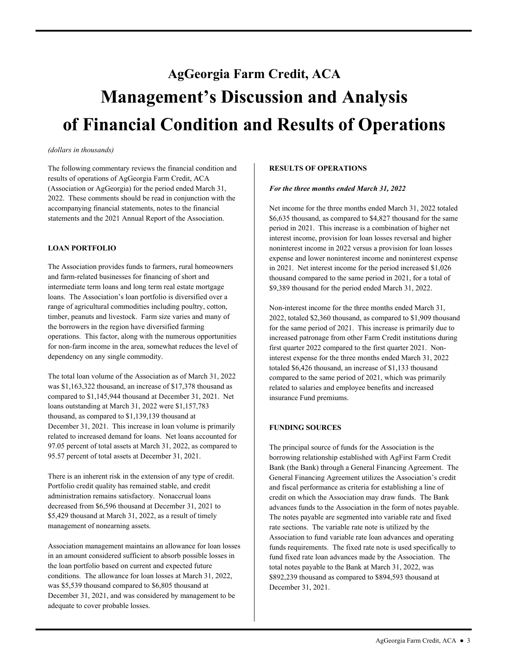# <span id="page-2-0"></span>**AgGeorgia Farm Credit, ACA Management's Discussion and Analysis of Financial Condition and Results of Operations**

#### *(dollars in thousands)*

The following commentary reviews the financial condition and results of operations of AgGeorgia Farm Credit, ACA (Association or AgGeorgia) for the period ended March 31, 2022. These comments should be read in conjunction with the accompanying financial statements, notes to the financial statements and the 2021 Annual Report of the Association.

#### **LOAN PORTFOLIO**

 timber, peanuts and livestock. Farm size varies and many of The Association provides funds to farmers, rural homeowners and farm-related businesses for financing of short and intermediate term loans and long term real estate mortgage loans. The Association's loan portfolio is diversified over a range of agricultural commodities including poultry, cotton, the borrowers in the region have diversified farming operations. This factor, along with the numerous opportunities for non-farm income in the area, somewhat reduces the level of dependency on any single commodity.

The total loan volume of the Association as of March 31, 2022 was \$1,163,322 thousand, an increase of \$17,378 thousand as compared to \$1,145,944 thousand at December 31, 2021. Net loans outstanding at March 31, 2022 were \$1,157,783 thousand, as compared to \$1,139,139 thousand at December 31, 2021. This increase in loan volume is primarily related to increased demand for loans. Net loans accounted for 97.05 percent of total assets at March 31, 2022, as compared to 95.57 percent of total assets at December 31, 2021.

There is an inherent risk in the extension of any type of credit. Portfolio credit quality has remained stable, and credit administration remains satisfactory. Nonaccrual loans decreased from \$6,596 thousand at December 31, 2021 to \$5,429 thousand at March 31, 2022, as a result of timely management of nonearning assets.

Association management maintains an allowance for loan losses in an amount considered sufficient to absorb possible losses in the loan portfolio based on current and expected future conditions. The allowance for loan losses at March 31, 2022, was \$5,539 thousand compared to \$6,805 thousand at December 31, 2021, and was considered by management to be adequate to cover probable losses.

#### **RESULTS OF OPERATIONS**

#### *For the three months ended March 31, 2022*

Net income for the three months ended March 31, 2022 totaled \$6,635 thousand, as compared to \$4,827 thousand for the same period in 2021. This increase is a combination of higher net interest income, provision for loan losses reversal and higher noninterest income in 2022 versus a provision for loan losses expense and lower noninterest income and noninterest expense in 2021. Net interest income for the period increased \$1,026 thousand compared to the same period in 2021, for a total of \$9,389 thousand for the period ended March 31, 2022.

Non-interest income for the three months ended March 31, 2022, totaled \$2,360 thousand, as compared to \$1,909 thousand for the same period of 2021. This increase is primarily due to increased patronage from other Farm Credit institutions during first quarter 2022 compared to the first quarter 2021. Noninterest expense for the three months ended March 31, 2022 totaled \$6,426 thousand, an increase of \$1,133 thousand compared to the same period of 2021, which was primarily related to salaries and employee benefits and increased insurance Fund premiums.

#### **FUNDING SOURCES**

 rate sections. The variable rate note is utilized by the The principal source of funds for the Association is the borrowing relationship established with AgFirst Farm Credit Bank (the Bank) through a General Financing Agreement. The General Financing Agreement utilizes the Association's credit and fiscal performance as criteria for establishing a line of credit on which the Association may draw funds. The Bank advances funds to the Association in the form of notes payable. The notes payable are segmented into variable rate and fixed Association to fund variable rate loan advances and operating funds requirements. The fixed rate note is used specifically to fund fixed rate loan advances made by the Association. The total notes payable to the Bank at March 31, 2022, was \$892,239 thousand as compared to \$894,593 thousand at December 31, 2021.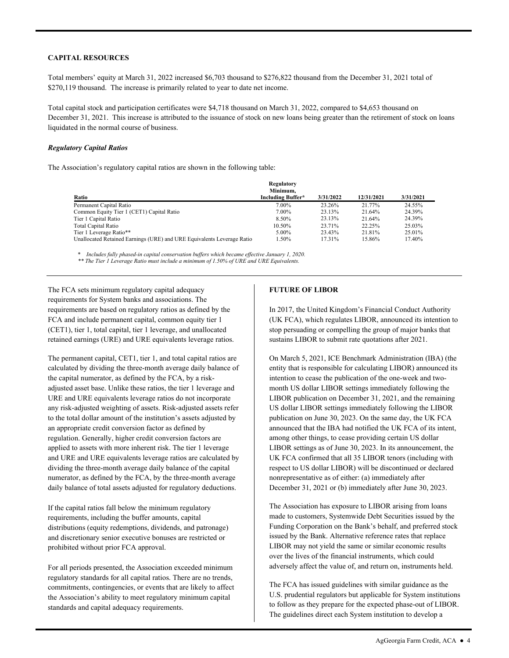#### **CAPITAL RESOURCES**

 Total members' equity at March 31, 2022 increased \$6,703 thousand to \$276,822 thousand from the December 31, 2021 total of \$270,119 thousand. The increase is primarily related to year to date net income.

Total capital stock and participation certificates were \$4,718 thousand on March 31, 2022, compared to \$4,653 thousand on December 31, 2021. This increase is attributed to the issuance of stock on new loans being greater than the retirement of stock on loans liquidated in the normal course of business.

#### *Regulatory Capital Ratios*

The Association's regulatory capital ratios are shown in the following table:

| Ratio                                                                  | Regulatory<br>Minimum.<br><b>Including Buffer*</b> | 3/31/2022 | 12/31/2021 | 3/31/2021 |
|------------------------------------------------------------------------|----------------------------------------------------|-----------|------------|-----------|
| Permanent Capital Ratio                                                | 7.00%                                              | 23.26%    | 21.77%     | 24.55%    |
| Common Equity Tier 1 (CET1) Capital Ratio                              | 7.00%                                              | 23.13%    | 21.64%     | 24.39%    |
| Tier 1 Capital Ratio                                                   | 8.50%                                              | 23.13%    | 21.64%     | 24.39%    |
| Total Capital Ratio                                                    | 10.50%                                             | 23.71%    | 22.25%     | 25.03%    |
| Tier 1 Leverage Ratio**                                                | 5.00%                                              | 23.43%    | 21.81%     | 25.01%    |
| Unallocated Retained Earnings (URE) and URE Equivalents Leverage Ratio | 1.50%                                              | 17.31%    | 15.86%     | 17.40%    |

\* *Includes fully phased-in capital conservation buffers which became effective January 1, 2020. \*\* The Tier 1 Leverage Ratio must include a minimum of 1.50% of URE and URE Equivalents.* 

The FCA sets minimum regulatory capital adequacy requirements for System banks and associations. The requirements are based on regulatory ratios as defined by the FCA and include permanent capital, common equity tier 1 (CET1), tier 1, total capital, tier 1 leverage, and unallocated retained earnings (URE) and URE equivalents leverage ratios.

 numerator, as defined by the FCA, by the three-month average The permanent capital, CET1, tier 1, and total capital ratios are calculated by dividing the three-month average daily balance of the capital numerator, as defined by the FCA, by a riskadjusted asset base. Unlike these ratios, the tier 1 leverage and URE and URE equivalents leverage ratios do not incorporate any risk-adjusted weighting of assets. Risk-adjusted assets refer to the total dollar amount of the institution's assets adjusted by an appropriate credit conversion factor as defined by regulation. Generally, higher credit conversion factors are applied to assets with more inherent risk. The tier 1 leverage and URE and URE equivalents leverage ratios are calculated by dividing the three-month average daily balance of the capital daily balance of total assets adjusted for regulatory deductions.

If the capital ratios fall below the minimum regulatory requirements, including the buffer amounts, capital distributions (equity redemptions, dividends, and patronage) and discretionary senior executive bonuses are restricted or prohibited without prior FCA approval.

For all periods presented, the Association exceeded minimum regulatory standards for all capital ratios. There are no trends, commitments, contingencies, or events that are likely to affect the Association's ability to meet regulatory minimum capital standards and capital adequacy requirements.

#### **FUTURE OF LIBOR**

In 2017, the United Kingdom's Financial Conduct Authority (UK FCA), which regulates LIBOR, announced its intention to stop persuading or compelling the group of major banks that sustains LIBOR to submit rate quotations after 2021.

On March 5, 2021, ICE Benchmark Administration (IBA) (the entity that is responsible for calculating LIBOR) announced its intention to cease the publication of the one-week and twomonth US dollar LIBOR settings immediately following the LIBOR publication on December 31, 2021, and the remaining US dollar LIBOR settings immediately following the LIBOR publication on June 30, 2023. On the same day, the UK FCA announced that the IBA had notified the UK FCA of its intent, among other things, to cease providing certain US dollar LIBOR settings as of June 30, 2023. In its announcement, the UK FCA confirmed that all 35 LIBOR tenors (including with respect to US dollar LIBOR) will be discontinued or declared nonrepresentative as of either: (a) immediately after December 31, 2021 or (b) immediately after June 30, 2023.

The Association has exposure to LIBOR arising from loans made to customers, Systemwide Debt Securities issued by the Funding Corporation on the Bank's behalf, and preferred stock issued by the Bank. Alternative reference rates that replace LIBOR may not yield the same or similar economic results over the lives of the financial instruments, which could adversely affect the value of, and return on, instruments held.

 The guidelines direct each System institution to develop a The FCA has issued guidelines with similar guidance as the U.S. prudential regulators but applicable for System institutions to follow as they prepare for the expected phase-out of LIBOR.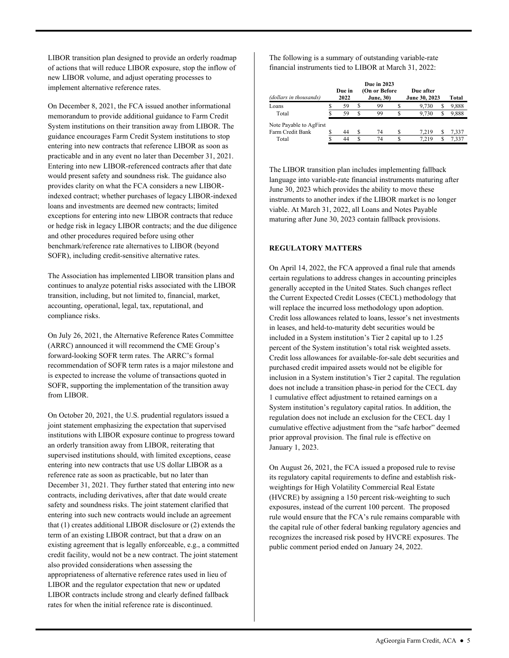LIBOR transition plan designed to provide an orderly roadmap of actions that will reduce LIBOR exposure, stop the inflow of new LIBOR volume, and adjust operating processes to implement alternative reference rates.

 loans and investments are deemed new contracts; limited On December 8, 2021, the FCA issued another informational memorandum to provide additional guidance to Farm Credit System institutions on their transition away from LIBOR. The guidance encourages Farm Credit System institutions to stop entering into new contracts that reference LIBOR as soon as practicable and in any event no later than December 31, 2021. Entering into new LIBOR-referenced contracts after that date would present safety and soundness risk. The guidance also provides clarity on what the FCA considers a new LIBORindexed contract; whether purchases of legacy LIBOR-indexed exceptions for entering into new LIBOR contracts that reduce or hedge risk in legacy LIBOR contracts; and the due diligence and other procedures required before using other benchmark/reference rate alternatives to LIBOR (beyond SOFR), including credit-sensitive alternative rates.

 transition, including, but not limited to, financial, market, The Association has implemented LIBOR transition plans and continues to analyze potential risks associated with the LIBOR accounting, operational, legal, tax, reputational, and compliance risks.

On July 26, 2021, the Alternative Reference Rates Committee (ARRC) announced it will recommend the CME Group's forward-looking SOFR term rates. The ARRC's formal recommendation of SOFR term rates is a major milestone and is expected to increase the volume of transactions quoted in SOFR, supporting the implementation of the transition away from LIBOR.

 LIBOR and the regulator expectation that new or updated On October 20, 2021, the U.S. prudential regulators issued a joint statement emphasizing the expectation that supervised institutions with LIBOR exposure continue to progress toward an orderly transition away from LIBOR, reiterating that supervised institutions should, with limited exceptions, cease entering into new contracts that use US dollar LIBOR as a reference rate as soon as practicable, but no later than December 31, 2021. They further stated that entering into new contracts, including derivatives, after that date would create safety and soundness risks. The joint statement clarified that entering into such new contracts would include an agreement that (1) creates additional LIBOR disclosure or (2) extends the term of an existing LIBOR contract, but that a draw on an existing agreement that is legally enforceable, e.g., a committed credit facility, would not be a new contract. The joint statement also provided considerations when assessing the appropriateness of alternative reference rates used in lieu of LIBOR contracts include strong and clearly defined fallback rates for when the initial reference rate is discontinued.

The following is a summary of outstanding variable-rate financial instruments tied to LIBOR at March 31, 2022:

| (dollars in thousands)  | Due in<br>2022 |   | <b>Due in 2023</b><br>(On or Before<br><b>June</b> , 30) |   | Due after<br>June 30, 2023 | Total |
|-------------------------|----------------|---|----------------------------------------------------------|---|----------------------------|-------|
| Loans                   | 59             | S | 99                                                       |   | 9.730                      | 9,888 |
| Total                   | 59             | S | 99                                                       | S | S<br>9.730                 | 9.888 |
| Note Payable to AgFirst |                |   |                                                          |   |                            |       |
| Farm Credit Bank        | 44             | ς | 74                                                       |   | 7.219                      | 7.337 |
| Total                   | 44             | S | 74                                                       |   | 7 2 1 9                    | 7 337 |

The LIBOR transition plan includes implementing fallback language into variable-rate financial instruments maturing after June 30, 2023 which provides the ability to move these instruments to another index if the LIBOR market is no longer viable. At March 31, 2022, all Loans and Notes Payable maturing after June 30, 2023 contain fallback provisions.

#### **REGULATORY MATTERS**

On April 14, 2022, the FCA approved a final rule that amends certain regulations to address changes in accounting principles generally accepted in the United States. Such changes reflect the Current Expected Credit Losses (CECL) methodology that will replace the incurred loss methodology upon adoption. Credit loss allowances related to loans, lessor's net investments in leases, and held-to-maturity debt securities would be included in a System institution's Tier 2 capital up to 1.25 percent of the System institution's total risk weighted assets. Credit loss allowances for available-for-sale debt securities and purchased credit impaired assets would not be eligible for inclusion in a System institution's Tier 2 capital. The regulation does not include a transition phase-in period for the CECL day 1 cumulative effect adjustment to retained earnings on a System institution's regulatory capital ratios. In addition, the regulation does not include an exclusion for the CECL day 1 cumulative effective adjustment from the "safe harbor" deemed prior approval provision. The final rule is effective on January 1, 2023.

On August 26, 2021, the FCA issued a proposed rule to revise its regulatory capital requirements to define and establish riskweightings for High Volatility Commercial Real Estate (HVCRE) by assigning a 150 percent risk-weighting to such exposures, instead of the current 100 percent. The proposed rule would ensure that the FCA's rule remains comparable with the capital rule of other federal banking regulatory agencies and recognizes the increased risk posed by HVCRE exposures. The public comment period ended on January 24, 2022.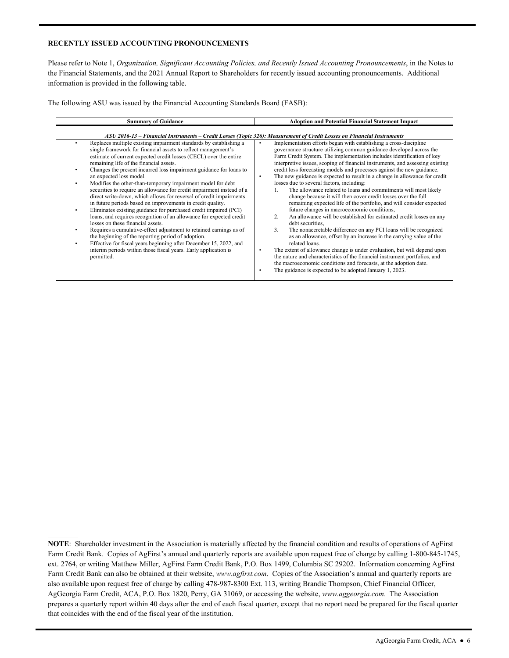#### **RECENTLY ISSUED ACCOUNTING PRONOUNCEMENTS**

 $\mathcal{L}_\text{max}$ 

Please refer to Note 1, *Organization, Significant Accounting Policies, and Recently Issued Accounting Pronouncements*, in the Notes to the Financial Statements, and the 2021 Annual Report to Shareholders for recently issued accounting pronouncements. Additional information is provided in the following table.

The following ASU was issued by the Financial Accounting Standards Board (FASB):

| <b>Summary of Guidance</b>                                                                                                                                                                                                                                                                                                                                                                                                                                                                                                                                                                                                                                                                                                                                                                                                                                                                                                                                                                                                                                                                                                       | <b>Adoption and Potential Financial Statement Impact</b>                                                                                                                                                                                                                                                                                                                                                                                                                                                                                                                                                                                                                                                                                                                                                                                                                                                                                                                                                                                                                                                                                                                                                                                                                                                                                             |
|----------------------------------------------------------------------------------------------------------------------------------------------------------------------------------------------------------------------------------------------------------------------------------------------------------------------------------------------------------------------------------------------------------------------------------------------------------------------------------------------------------------------------------------------------------------------------------------------------------------------------------------------------------------------------------------------------------------------------------------------------------------------------------------------------------------------------------------------------------------------------------------------------------------------------------------------------------------------------------------------------------------------------------------------------------------------------------------------------------------------------------|------------------------------------------------------------------------------------------------------------------------------------------------------------------------------------------------------------------------------------------------------------------------------------------------------------------------------------------------------------------------------------------------------------------------------------------------------------------------------------------------------------------------------------------------------------------------------------------------------------------------------------------------------------------------------------------------------------------------------------------------------------------------------------------------------------------------------------------------------------------------------------------------------------------------------------------------------------------------------------------------------------------------------------------------------------------------------------------------------------------------------------------------------------------------------------------------------------------------------------------------------------------------------------------------------------------------------------------------------|
| ASU 2016-13 – Financial Instruments – Credit Losses (Topic 326): Measurement of Credit Losses on Financial Instruments                                                                                                                                                                                                                                                                                                                                                                                                                                                                                                                                                                                                                                                                                                                                                                                                                                                                                                                                                                                                           |                                                                                                                                                                                                                                                                                                                                                                                                                                                                                                                                                                                                                                                                                                                                                                                                                                                                                                                                                                                                                                                                                                                                                                                                                                                                                                                                                      |
| Replaces multiple existing impairment standards by establishing a<br>٠<br>single framework for financial assets to reflect management's<br>estimate of current expected credit losses (CECL) over the entire<br>remaining life of the financial assets.<br>Changes the present incurred loss impairment guidance for loans to<br>an expected loss model.<br>Modifies the other-than-temporary impairment model for debt<br>$\bullet$<br>securities to require an allowance for credit impairment instead of a<br>direct write-down, which allows for reversal of credit impairments<br>in future periods based on improvements in credit quality.<br>Eliminates existing guidance for purchased credit impaired (PCI)<br>$\bullet$<br>loans, and requires recognition of an allowance for expected credit<br>losses on these financial assets.<br>Requires a cumulative-effect adjustment to retained earnings as of<br>the beginning of the reporting period of adoption.<br>Effective for fiscal years beginning after December 15, 2022, and<br>interim periods within those fiscal years. Early application is<br>permitted. | Implementation efforts began with establishing a cross-discipline<br>٠<br>governance structure utilizing common guidance developed across the<br>Farm Credit System. The implementation includes identification of key<br>interpretive issues, scoping of financial instruments, and assessing existing<br>credit loss forecasting models and processes against the new guidance.<br>The new guidance is expected to result in a change in allowance for credit<br>٠<br>losses due to several factors, including:<br>The allowance related to loans and commitments will most likely<br>change because it will then cover credit losses over the full<br>remaining expected life of the portfolio, and will consider expected<br>future changes in macroeconomic conditions,<br>An allowance will be established for estimated credit losses on any<br>2.<br>debt securities.<br>3.<br>The nonaccretable difference on any PCI loans will be recognized<br>as an allowance, offset by an increase in the carrying value of the<br>related loans.<br>The extent of allowance change is under evaluation, but will depend upon<br>٠<br>the nature and characteristics of the financial instrument portfolios, and<br>the macroeconomic conditions and forecasts, at the adoption date.<br>The guidance is expected to be adopted January 1, 2023.<br>٠ |

 that coincides with the end of the fiscal year of the institution. **NOTE**: Shareholder investment in the Association is materially affected by the financial condition and results of operations of AgFirst Farm Credit Bank. Copies of AgFirst's annual and quarterly reports are available upon request free of charge by calling 1-800-845-1745, ext. 2764, or writing Matthew Miller, AgFirst Farm Credit Bank, P.O. Box 1499, Columbia SC 29202. Information concerning AgFirst Farm Credit Bank can also be obtained at their website, *<www.agfirst.com>*. Copies of the Association's annual and quarterly reports are also available upon request free of charge by calling 478-987-8300 Ext. 113, writing Brandie Thompson, Chief Financial Officer, AgGeorgia Farm Credit, ACA, P.O. Box 1820, Perry, GA 31069, or accessing the website, *<www.aggeorgia.com>*. The Association prepares a quarterly report within 40 days after the end of each fiscal quarter, except that no report need be prepared for the fiscal quarter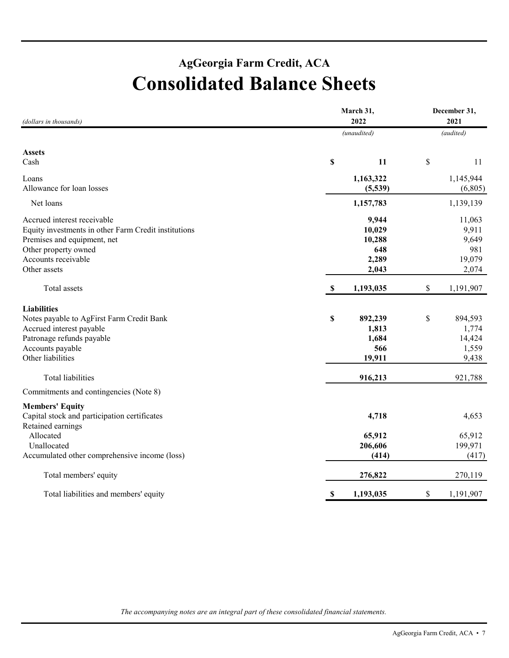### **AgGeorgia Farm Credit, ACA Consolidated Balance Sheets**

| (dollars in thousands)                               | March 31,<br>2022        | December 31,<br>2021     |
|------------------------------------------------------|--------------------------|--------------------------|
|                                                      | (unaudited)              | (audited)                |
| <b>Assets</b>                                        |                          |                          |
| Cash                                                 | \$<br>11                 | \$<br>11                 |
| Loans                                                | 1,163,322                | 1,145,944                |
| Allowance for loan losses                            | (5,539)                  | (6,805)                  |
| Net loans                                            | 1,157,783                | 1,139,139                |
| Accrued interest receivable                          | 9,944                    | 11,063                   |
| Equity investments in other Farm Credit institutions | 10,029                   | 9,911                    |
| Premises and equipment, net                          | 10,288                   | 9,649                    |
| Other property owned                                 | 648                      | 981                      |
| Accounts receivable                                  | 2,289                    | 19,079                   |
| Other assets                                         | 2,043                    | 2,074                    |
| Total assets                                         | 1,193,035<br>$\mathbf S$ | $\mathbb S$<br>1,191,907 |
| <b>Liabilities</b>                                   |                          |                          |
| Notes payable to AgFirst Farm Credit Bank            | \$<br>892,239            | \$<br>894,593            |
| Accrued interest payable                             | 1,813                    | 1,774                    |
| Patronage refunds payable                            | 1,684                    | 14,424                   |
| Accounts payable                                     | 566                      | 1,559                    |
| Other liabilities                                    | 19,911                   | 9,438                    |
| Total liabilities                                    | 916,213                  | 921,788                  |
| Commitments and contingencies (Note 8)               |                          |                          |
| <b>Members' Equity</b>                               |                          |                          |
| Capital stock and participation certificates         | 4,718                    | 4,653                    |
| Retained earnings                                    |                          |                          |
| Allocated                                            | 65,912                   | 65,912                   |
| Unallocated                                          | 206,606                  | 199,971                  |
| Accumulated other comprehensive income (loss)        | (414)                    | (417)                    |
| Total members' equity                                | 276,822                  | 270,119                  |
| Total liabilities and members' equity                | \$<br>1,193,035          | \$<br>1,191,907          |
|                                                      |                          |                          |

*The accompanying notes are an integral part of these consolidated financial statements.*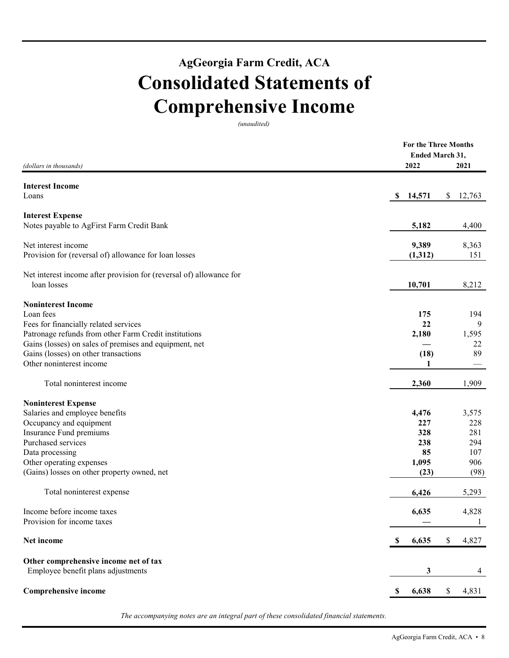## **AgGeorgia Farm Credit, ACA Consolidated Statements of Comprehensive Income**

*(unaudited)* 

|                                                                     | <b>For the Three Months</b> |        |
|---------------------------------------------------------------------|-----------------------------|--------|
|                                                                     | Ended March 31,             |        |
| (dollars in thousands)                                              | 2022                        | 2021   |
| <b>Interest Income</b>                                              |                             |        |
| Loans                                                               | 14,571<br>\$<br>\$          | 12,763 |
| <b>Interest Expense</b>                                             |                             |        |
| Notes payable to AgFirst Farm Credit Bank                           | 5,182                       | 4,400  |
| Net interest income                                                 | 9,389                       | 8,363  |
| Provision for (reversal of) allowance for loan losses               | (1,312)                     | 151    |
| Net interest income after provision for (reversal of) allowance for |                             |        |
| loan losses                                                         | 10,701                      | 8,212  |
| <b>Noninterest Income</b>                                           |                             |        |
| Loan fees                                                           | 175                         | 194    |
| Fees for financially related services                               | 22                          | 9      |
| Patronage refunds from other Farm Credit institutions               | 2,180                       | 1,595  |
| Gains (losses) on sales of premises and equipment, net              |                             | 22     |
| Gains (losses) on other transactions                                | (18)                        | 89     |
| Other noninterest income                                            | 1                           |        |
| Total noninterest income                                            | 2,360                       | 1,909  |
| <b>Noninterest Expense</b>                                          |                             |        |
| Salaries and employee benefits                                      | 4,476                       | 3,575  |
| Occupancy and equipment                                             | 227                         | 228    |
| Insurance Fund premiums                                             | 328                         | 281    |
| Purchased services                                                  | 238                         | 294    |
| Data processing                                                     | 85                          | 107    |
| Other operating expenses                                            | 1,095                       | 906    |
| (Gains) losses on other property owned, net                         | (23)                        | (98)   |
| Total noninterest expense                                           | 6,426                       | 5,293  |
| Income before income taxes                                          | 6,635                       | 4,828  |
| Provision for income taxes                                          |                             | 1      |
| Net income                                                          | 6,635<br>\$<br><b>S</b>     | 4,827  |
| Other comprehensive income net of tax                               |                             |        |
| Employee benefit plans adjustments                                  | 3                           | 4      |
| <b>Comprehensive income</b>                                         | 6,638<br>\$<br>S.           | 4,831  |
|                                                                     |                             |        |

*The accompanying notes are an integral part of these consolidated financial statements.*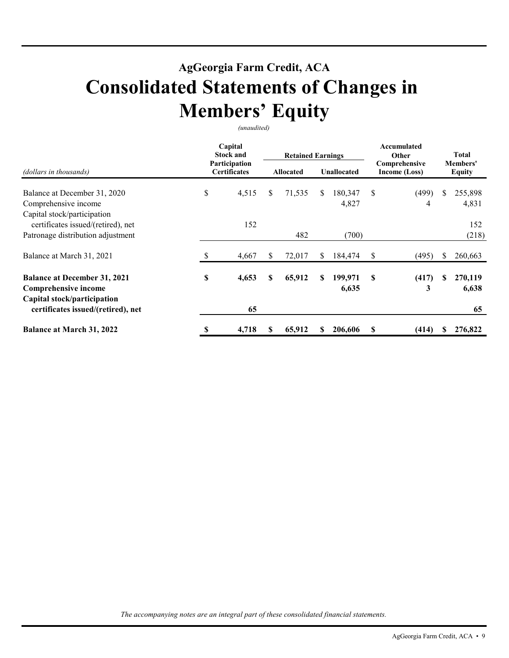### **AgGeorgia Farm Credit, ACA Consolidated Statements of Changes in Members' Equity**

*(unaudited)* 

|                                                                                            |                     | Capital<br><b>Stock and</b><br>Participation |    | <b>Retained Earnings</b> |     |                  | Accumulated<br>Other<br>Comprehensive |                           |    | Total            |
|--------------------------------------------------------------------------------------------|---------------------|----------------------------------------------|----|--------------------------|-----|------------------|---------------------------------------|---------------------------|----|------------------|
| (dollars in thousands)                                                                     | <b>Certificates</b> | <b>Allocated</b>                             |    | <b>Unallocated</b>       |     | Income (Loss)    |                                       | Members'<br><b>Equity</b> |    |                  |
| Balance at December 31, 2020<br>Comprehensive income<br>Capital stock/participation        | \$                  | 4,515                                        | \$ | 71,535                   | \$. | 180,347<br>4,827 | \$                                    | (499)<br>4                | \$ | 255,898<br>4,831 |
| certificates issued/(retired), net<br>Patronage distribution adjustment                    |                     | 152                                          |    | 482                      |     | (700)            |                                       |                           |    | 152<br>(218)     |
|                                                                                            |                     |                                              |    |                          |     |                  |                                       |                           |    |                  |
| Balance at March 31, 2021                                                                  | S                   | 4,667                                        | S. | 72,017                   | S.  | 184,474          | S                                     | (495)                     |    | 260,663          |
| <b>Balance at December 31, 2021</b><br>Comprehensive income<br>Capital stock/participation | \$                  | 4,653                                        | \$ | 65,912                   | S   | 199,971<br>6,635 | S                                     | (417)<br>3                |    | 270,119<br>6,638 |
| certificates issued/(retired), net                                                         |                     | 65                                           |    |                          |     |                  |                                       |                           |    | 65               |
| <b>Balance at March 31, 2022</b>                                                           | \$                  | 4,718                                        | S  | 65,912                   | S   | 206,606          | S                                     | (414)                     |    | 276,822          |

*The accompanying notes are an integral part of these consolidated financial statements.*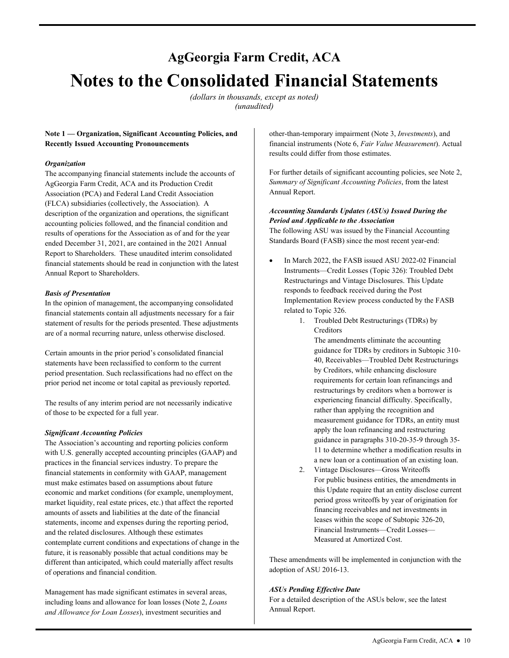## **AgGeorgia Farm Credit, ACA Notes to the Consolidated Financial Statements**

*(dollars in thousands, except as noted) (unaudited)* 

#### **Note 1 — Organization, Significant Accounting Policies, and Recently Issued Accounting Pronouncements**

#### *Organization*

The accompanying financial statements include the accounts of AgGeorgia Farm Credit, ACA and its Production Credit Association (PCA) and Federal Land Credit Association (FLCA) subsidiaries (collectively, the Association). A description of the organization and operations, the significant accounting policies followed, and the financial condition and results of operations for the Association as of and for the year ended December 31, 2021, are contained in the 2021 Annual Report to Shareholders. These unaudited interim consolidated financial statements should be read in conjunction with the latest Annual Report to Shareholders.

#### *Basis of Presentation*

In the opinion of management, the accompanying consolidated financial statements contain all adjustments necessary for a fair statement of results for the periods presented. These adjustments are of a normal recurring nature, unless otherwise disclosed.

Certain amounts in the prior period's consolidated financial statements have been reclassified to conform to the current period presentation. Such reclassifications had no effect on the prior period net income or total capital as previously reported.

 of those to be expected for a full year. The results of any interim period are not necessarily indicative

#### *Significant Accounting Policies*

The Association's accounting and reporting policies conform with U.S. generally accepted accounting principles (GAAP) and practices in the financial services industry. To prepare the financial statements in conformity with GAAP, management must make estimates based on assumptions about future economic and market conditions (for example, unemployment, market liquidity, real estate prices, etc.) that affect the reported amounts of assets and liabilities at the date of the financial statements, income and expenses during the reporting period, and the related disclosures. Although these estimates contemplate current conditions and expectations of change in the future, it is reasonably possible that actual conditions may be different than anticipated, which could materially affect results of operations and financial condition. **Start of the securities and the securities and the securities and the securities of the securities and the securities and the securities of the securities of the companying for the securities of the companying for Losses** 

and Allowance for Loan Losses), investment securities and Management has made significant estimates in several areas, including loans and allowance for loan losses (Note 2, *Loans* 

financial instruments (Note 6, *Fair Value Measurement*). Actual results could differ from those estimates.

For further details of significant accounting policies, see Note 2, *Summary of Significant Accounting Policies*, from the latest Annual Report.

#### *Accounting Standards Updates (ASUs) Issued During the Period and Applicable to the Association*

 Standards Board (FASB) since the most recent year-end: The following ASU was issued by the Financial Accounting

- In March 2022, the FASB issued ASU 2022-02 Financial Instruments—Credit Losses (Topic 326): Troubled Debt Restructurings and Vintage Disclosures. This Update responds to feedback received during the Post Implementation Review process conducted by the FASB related to Topic 326.
	- 1. Troubled Debt Restructurings (TDRs) by Creditors

The amendments eliminate the accounting guidance for TDRs by creditors in Subtopic 310- 40, Receivables—Troubled Debt Restructurings by Creditors, while enhancing disclosure requirements for certain loan refinancings and restructurings by creditors when a borrower is experiencing financial difficulty. Specifically, rather than applying the recognition and measurement guidance for TDRs, an entity must apply the loan refinancing and restructuring guidance in paragraphs 310-20-35-9 through 35- 11 to determine whether a modification results in a new loan or a continuation of an existing loan.

2. Vintage Disclosures—Gross Writeoffs For public business entities, the amendments in this Update require that an entity disclose current period gross writeoffs by year of origination for financing receivables and net investments in leases within the scope of Subtopic 326-20, Financial Instruments—Credit Losses— Measured at Amortized Cost.

These amendments will be implemented in conjunction with the adoption of ASU 2016-13.

#### *ASUs Pending Effective Date*

For a detailed description of the ASUs below, see the latest Annual Report.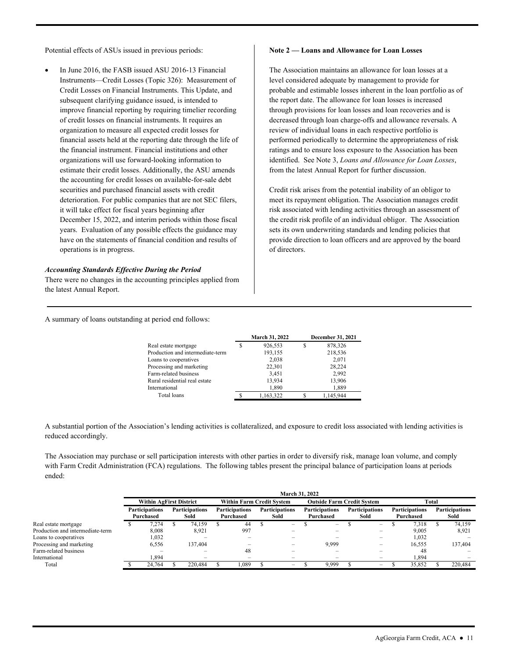Potential effects of ASUs issued in previous periods:

 In June 2016, the FASB issued ASU 2016-13 Financial Instruments—Credit Losses (Topic 326): Measurement of Credit Losses on Financial Instruments. This Update, and subsequent clarifying guidance issued, is intended to improve financial reporting by requiring timelier recording of credit losses on financial instruments. It requires an organization to measure all expected credit losses for financial assets held at the reporting date through the life of the financial instrument. Financial institutions and other organizations will use forward-looking information to estimate their credit losses. Additionally, the ASU amends the accounting for credit losses on available-for-sale debt securities and purchased financial assets with credit deterioration. For public companies that are not SEC filers, it will take effect for fiscal years beginning after December 15, 2022, and interim periods within those fiscal years. Evaluation of any possible effects the guidance may have on the statements of financial condition and results of operations is in progress.

#### *Accounting Standards Effective During the Period*

There were no changes in the accounting principles applied from the latest Annual Report.

#### **Note 2 — Loans and Allowance for Loan Losses**

 identified. See Note 3, *Loans and Allowance for Loan Losses*, The Association maintains an allowance for loan losses at a level considered adequate by management to provide for probable and estimable losses inherent in the loan portfolio as of the report date. The allowance for loan losses is increased through provisions for loan losses and loan recoveries and is decreased through loan charge-offs and allowance reversals. A review of individual loans in each respective portfolio is performed periodically to determine the appropriateness of risk ratings and to ensure loss exposure to the Association has been from the latest Annual Report for further discussion.

Credit risk arises from the potential inability of an obligor to meet its repayment obligation. The Association manages credit risk associated with lending activities through an assessment of the credit risk profile of an individual obligor. The Association sets its own underwriting standards and lending policies that provide direction to loan officers and are approved by the board of directors.

A summary of loans outstanding at period end follows:

|                                  |   | <b>March 31, 2022</b> |   | December 31, 2021 |
|----------------------------------|---|-----------------------|---|-------------------|
| Real estate mortgage             | S | 926,553               | S | 878,326           |
| Production and intermediate-term |   | 193,155               |   | 218,536           |
| Loans to cooperatives            |   | 2,038                 |   | 2,071             |
| Processing and marketing         |   | 22,301                |   | 28,224            |
| Farm-related business            |   | 3,451                 |   | 2,992             |
| Rural residential real estate    |   | 13,934                |   | 13,906            |
| International                    |   | 1,890                 |   | 1,889             |
| Total loans                      |   | 1,163,322             |   | 1,145,944         |
|                                  |   |                       |   |                   |

A substantial portion of the Association's lending activities is collateralized, and exposure to credit loss associated with lending activities is reduced accordingly.

The Association may purchase or sell participation interests with other parties in order to diversify risk, manage loan volume, and comply with Farm Credit Administration (FCA) regulations. The following tables present the principal balance of participation loans at periods ended:

|                                  | March 31, 2022                     |  |                               |                                  |                                    |  |                               |                                   |                                    |  |                               |  |                                    |  |                               |  |
|----------------------------------|------------------------------------|--|-------------------------------|----------------------------------|------------------------------------|--|-------------------------------|-----------------------------------|------------------------------------|--|-------------------------------|--|------------------------------------|--|-------------------------------|--|
|                                  | <b>Within AgFirst District</b>     |  |                               | <b>Within Farm Credit System</b> |                                    |  |                               | <b>Outside Farm Credit System</b> |                                    |  |                               |  | Total                              |  |                               |  |
|                                  | <b>Participations</b><br>Purchased |  | <b>Participations</b><br>Sold |                                  | <b>Participations</b><br>Purchased |  | <b>Participations</b><br>Sold |                                   | <b>Participations</b><br>Purchased |  | <b>Participations</b><br>Sold |  | <b>Participations</b><br>Purchased |  | <b>Participations</b><br>Sold |  |
| Real estate mortgage             | 7.274                              |  | 74.159                        |                                  | 44                                 |  | -                             |                                   | $\overline{\phantom{0}}$           |  | $-$                           |  | 7.318                              |  | 74.159                        |  |
| Production and intermediate-term | 8,008                              |  | 8.921                         |                                  | 997                                |  | -                             |                                   | $\overline{\phantom{0}}$           |  | $\overline{\phantom{0}}$      |  | 9,005                              |  | 8.921                         |  |
| Loans to cooperatives            | 1,032                              |  |                               |                                  |                                    |  |                               |                                   |                                    |  |                               |  | 1,032                              |  |                               |  |
| Processing and marketing         | 6,556                              |  | 137.404                       |                                  |                                    |  |                               |                                   | 9,999                              |  |                               |  | 16,555                             |  | 137.404                       |  |
| Farm-related business            |                                    |  |                               |                                  | 48                                 |  |                               |                                   | -                                  |  |                               |  | 48                                 |  |                               |  |
| International                    | 1.894                              |  | -                             |                                  |                                    |  |                               |                                   |                                    |  | $\overline{\phantom{0}}$      |  | 1.894                              |  |                               |  |
| Total                            | 24.764                             |  | 220,484                       |                                  | 1,089                              |  | -                             |                                   | 9,999                              |  | $\overline{\phantom{a}}$      |  | 35.852                             |  | 220.484                       |  |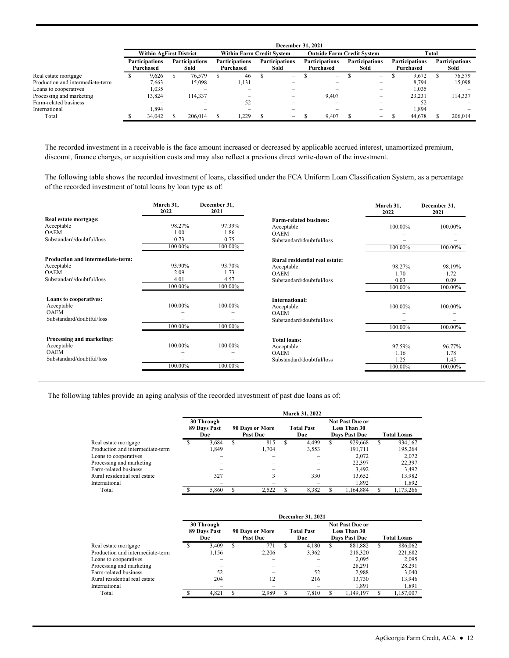|                                  | December 31, 2021              |           |  |                          |                                  |           |                       |                          |                                   |                          |                       |                          |                       |           |                       |         |  |                       |
|----------------------------------|--------------------------------|-----------|--|--------------------------|----------------------------------|-----------|-----------------------|--------------------------|-----------------------------------|--------------------------|-----------------------|--------------------------|-----------------------|-----------|-----------------------|---------|--|-----------------------|
|                                  | <b>Within AgFirst District</b> |           |  |                          | <b>Within Farm Credit System</b> |           |                       |                          | <b>Outside Farm Credit System</b> |                          |                       |                          |                       | Total     |                       |         |  |                       |
|                                  | <b>Participations</b>          |           |  |                          | <b>Participations</b>            |           | <b>Participations</b> |                          | <b>Participations</b>             |                          | <b>Participations</b> |                          | <b>Participations</b> |           | <b>Participations</b> |         |  | <b>Participations</b> |
|                                  |                                | Purchased |  | Sold                     |                                  | Purchased |                       | Sold                     |                                   | Purchased                |                       | Sold                     |                       | Purchased |                       | Sold    |  |                       |
| Real estate mortgage             |                                | 9.626     |  | 76,579                   |                                  | 46        |                       | $\overline{\phantom{0}}$ |                                   | $\overline{\phantom{a}}$ |                       | $\qquad \qquad$          |                       | 9.672     |                       | 76,579  |  |                       |
| Production and intermediate-term |                                | 7,663     |  | 15.098                   |                                  | 1,131     |                       |                          |                                   |                          |                       | $\overline{\phantom{0}}$ |                       | 8,794     |                       | 15,098  |  |                       |
| Loans to cooperatives            |                                | 1.035     |  |                          |                                  |           |                       |                          |                                   |                          |                       |                          |                       | 1,035     |                       |         |  |                       |
| Processing and marketing         |                                | 13.824    |  | 114,337                  |                                  |           |                       | -                        |                                   | 9.407                    |                       | $\overline{\phantom{0}}$ |                       | 23.231    |                       | 114,337 |  |                       |
| Farm-related business            |                                |           |  |                          |                                  | 52        |                       |                          |                                   |                          |                       |                          |                       | 52        |                       |         |  |                       |
| International                    |                                | 1.894     |  | $\overline{\phantom{0}}$ |                                  | -         |                       |                          |                                   | $\overline{\phantom{0}}$ |                       |                          |                       | 1.894     |                       |         |  |                       |
| Total                            |                                | 34,042    |  | 206.014                  |                                  | .229      |                       | $\overline{\phantom{0}}$ |                                   | 9.407                    |                       | $\overline{\phantom{0}}$ |                       | 44,678    |                       | 206,014 |  |                       |

The recorded investment in a receivable is the face amount increased or decreased by applicable accrued interest, unamortized premium, discount, finance charges, or acquisition costs and may also reflect a previous direct write-down of the investment.

 of the recorded investment of total loans by loan type as of: The following table shows the recorded investment of loans, classified under the FCA Uniform Loan Classification System, as a percentage

|                                                                                             | March 31.<br>2022                 | December 31,<br>2021              |                                                                                          | March 31,<br>2022                 | December 31,<br>2021              |
|---------------------------------------------------------------------------------------------|-----------------------------------|-----------------------------------|------------------------------------------------------------------------------------------|-----------------------------------|-----------------------------------|
| Real estate mortgage:<br>Acceptable<br><b>OAEM</b><br>Substandard/doubtful/loss             | 98.27%<br>1.00<br>0.73<br>100.00% | 97.39%<br>1.86<br>0.75<br>100.00% | <b>Farm-related business:</b><br>Acceptable<br><b>OAEM</b><br>Substandard/doubtful/loss  | 100.00%<br>100.00%                | 100.00%<br>100.00%                |
| Production and intermediate-term:<br>Acceptable<br><b>OAEM</b><br>Substandard/doubtful/loss | 93.90%<br>2.09<br>4.01<br>100.00% | 93.70%<br>1.73<br>4.57<br>100.00% | Rural residential real estate:<br>Acceptable<br><b>OAEM</b><br>Substandard/doubtful/loss | 98.27%<br>1.70<br>0.03<br>100.00% | 98.19%<br>1.72<br>0.09<br>100.00% |
| <b>Loans to cooperatives:</b><br>Acceptable<br><b>OAEM</b><br>Substandard/doubtful/loss     | 100.00%<br>100.00%                | 100.00%<br>100.00%                | <b>International:</b><br>Acceptable<br><b>OAEM</b><br>Substandard/doubtful/loss          | 100.00%<br>100.00%                | 100.00%<br>100.00%                |
| Processing and marketing:<br>Acceptable<br><b>OAEM</b><br>Substandard/doubtful/loss         | 100.00%<br>100.00%                | 100.00%<br>100.00%                | <b>Total loans:</b><br>Acceptable<br><b>OAEM</b><br>Substandard/doubtful/loss            | 97.59%<br>1.16<br>1.25<br>100.00% | 96.77%<br>1.78<br>1.45<br>100.00% |

The following tables provide an aging analysis of the recorded investment of past due loans as of:

|                                  | March 31, 2022 |                                   |   |                                    |   |                          |    |                                                                       |                    |           |  |  |  |  |
|----------------------------------|----------------|-----------------------------------|---|------------------------------------|---|--------------------------|----|-----------------------------------------------------------------------|--------------------|-----------|--|--|--|--|
|                                  |                | 30 Through<br>89 Days Past<br>Due |   | 90 Days or More<br><b>Past Due</b> |   | <b>Total Past</b><br>Due |    | <b>Not Past Due or</b><br><b>Less Than 30</b><br><b>Days Past Due</b> | <b>Total Loans</b> |           |  |  |  |  |
| Real estate mortgage             |                | 3.684                             | S | 815                                | S | 4.499                    | \$ | 929,668                                                               | S                  | 934,167   |  |  |  |  |
| Production and intermediate-term |                | 1.849                             |   | 1.704                              |   | 3,553                    |    | 191.711                                                               |                    | 195.264   |  |  |  |  |
| Loans to cooperatives            |                |                                   |   |                                    |   |                          |    | 2.072                                                                 |                    | 2,072     |  |  |  |  |
| Processing and marketing         |                |                                   |   |                                    |   |                          |    | 22.397                                                                |                    | 22.397    |  |  |  |  |
| Farm-related business            |                |                                   |   |                                    |   |                          |    | 3.492                                                                 |                    | 3,492     |  |  |  |  |
| Rural residential real estate    |                | 327                               |   |                                    |   | 330                      |    | 13,652                                                                |                    | 13,982    |  |  |  |  |
| International                    |                |                                   |   |                                    |   |                          |    | 1.892                                                                 |                    | 1,892     |  |  |  |  |
| Total                            |                | 5.860                             |   | 2.522                              |   | 8.382                    |    | 1.164.884                                                             |                    | 1.173.266 |  |  |  |  |

|                                  | December 31, 2021 |                                   |   |                                    |                          |                                                                |   |                    |   |           |  |  |  |  |
|----------------------------------|-------------------|-----------------------------------|---|------------------------------------|--------------------------|----------------------------------------------------------------|---|--------------------|---|-----------|--|--|--|--|
|                                  |                   | 30 Through<br>89 Days Past<br>Due |   | 90 Days or More<br><b>Past Due</b> | <b>Total Past</b><br>Due | <b>Not Past Due or</b><br>Less Than 30<br><b>Days Past Due</b> |   | <b>Total Loans</b> |   |           |  |  |  |  |
| Real estate mortgage             | S                 | 3.409                             | S | 771                                | S                        | 4.180                                                          | S | 881,882            | S | 886,062   |  |  |  |  |
| Production and intermediate-term |                   | 1.156                             |   | 2.206                              |                          | 3,362                                                          |   | 218,320            |   | 221,682   |  |  |  |  |
| Loans to cooperatives            |                   |                                   |   |                                    |                          |                                                                |   | 2.095              |   | 2.095     |  |  |  |  |
| Processing and marketing         |                   |                                   |   |                                    |                          |                                                                |   | 28.291             |   | 28.291    |  |  |  |  |
| Farm-related business            |                   | 52                                |   |                                    |                          | 52                                                             |   | 2.988              |   | 3.040     |  |  |  |  |
| Rural residential real estate    |                   | 204                               |   | 12                                 |                          | 216                                                            |   | 13,730             |   | 13,946    |  |  |  |  |
| International                    |                   |                                   |   |                                    |                          |                                                                |   | 1,891              |   | 1,891     |  |  |  |  |
| Total                            |                   | 4.821                             | S | 2.989                              |                          | 7.810                                                          |   | 1.149.197          |   | 1.157.007 |  |  |  |  |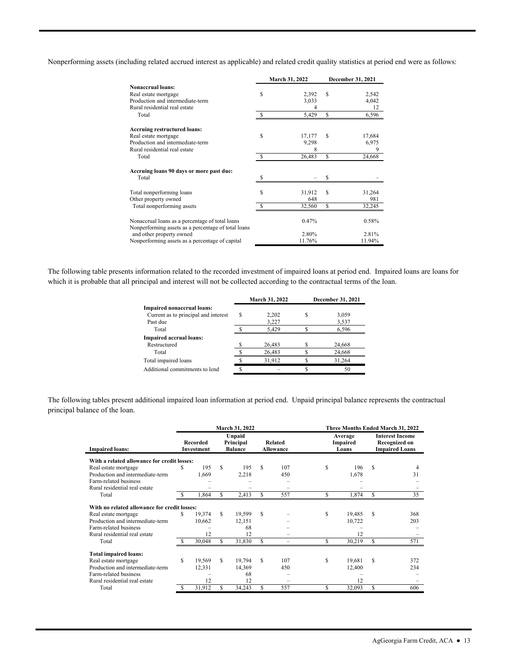Nonperforming assets (including related accrued interest as applicable) and related credit quality statistics at period end were as follows:

|                                                                                                        |    | <b>March 31, 2022</b> | December 31, 2021 |        |  |
|--------------------------------------------------------------------------------------------------------|----|-----------------------|-------------------|--------|--|
| <b>Nonaccrual loans:</b>                                                                               |    |                       |                   |        |  |
| Real estate mortgage                                                                                   | \$ | 2,392                 | S                 | 2,542  |  |
| Production and intermediate-term                                                                       |    | 3,033                 |                   | 4,042  |  |
| Rural residential real estate                                                                          |    |                       |                   | 12     |  |
| Total                                                                                                  |    | 5,429                 | \$                | 6,596  |  |
| <b>Accruing restructured loans:</b>                                                                    |    |                       |                   |        |  |
| Real estate mortgage                                                                                   | \$ | 17,177                | S                 | 17,684 |  |
| Production and intermediate-term                                                                       |    | 9,298                 |                   | 6,975  |  |
| Rural residential real estate                                                                          |    | 8                     |                   | 9      |  |
| Total                                                                                                  |    | 26,483                | \$                | 24,668 |  |
| Accruing loans 90 days or more past due:                                                               |    |                       |                   |        |  |
| Total                                                                                                  | S  |                       | S                 |        |  |
| Total nonperforming loans                                                                              | Ś  | 31,912                | S                 | 31,264 |  |
| Other property owned                                                                                   |    | 648                   |                   | 981    |  |
| Total nonperforming assets                                                                             | S  | 32,560                | S                 | 32,245 |  |
| Nonaccrual loans as a percentage of total loans<br>Nonperforming assets as a percentage of total loans |    | 0.47%                 |                   | 0.58%  |  |
| and other property owned                                                                               |    | 2.80%                 |                   | 2.81%  |  |
| Nonperforming assets as a percentage of capital                                                        |    | 11.76%                |                   | 11.94% |  |

The following table presents information related to the recorded investment of impaired loans at period end. Impaired loans are loans for which it is probable that all principal and interest will not be collected according to the contractual terms of the loan.

|                                      |   | March 31, 2022 | December 31, 2021 |
|--------------------------------------|---|----------------|-------------------|
| Impaired nonaccrual loans:           |   |                |                   |
| Current as to principal and interest | S | 2.202          | 3,059             |
| Past due                             |   | 3,227          | 3,537             |
| Total                                |   | 5.429          | 6.596             |
| <b>Impaired accrual loans:</b>       |   |                |                   |
| Restructured                         |   | 26,483         | 24,668            |
| Total                                |   | 26,483         | 24,668            |
| Total impaired loans                 |   | 31,912         | 31,264            |
| Additional commitments to lend       |   |                | 50                |

The following tables present additional impaired loan information at period end. Unpaid principal balance represents the contractual principal balance of the loan.

|                                              |    |                               |     | March 31, 2022                                                              |    |                          | Three Months Ended March 31, 2022<br>Average<br>Impaired<br>Loans |        |                                                                         |     |  |  |  |
|----------------------------------------------|----|-------------------------------|-----|-----------------------------------------------------------------------------|----|--------------------------|-------------------------------------------------------------------|--------|-------------------------------------------------------------------------|-----|--|--|--|
| <b>Impaired loans:</b>                       |    | <b>Recorded</b><br>Investment |     | Unpaid<br><b>Related</b><br>Principal<br><b>Balance</b><br><b>Allowance</b> |    |                          |                                                                   |        | <b>Interest Income</b><br><b>Recognized on</b><br><b>Impaired Loans</b> |     |  |  |  |
| With a related allowance for credit losses:  |    |                               |     |                                                                             |    |                          |                                                                   |        |                                                                         |     |  |  |  |
| Real estate mortgage                         | S  | 195                           | S   | 195                                                                         | S. | 107                      | S                                                                 | 196    | \$.                                                                     | 4   |  |  |  |
| Production and intermediate-term             |    | 1,669                         |     | 2,218                                                                       |    | 450                      |                                                                   | 1,678  |                                                                         | 31  |  |  |  |
| Farm-related business                        |    |                               |     |                                                                             |    |                          |                                                                   |        |                                                                         |     |  |  |  |
| Rural residential real estate                |    |                               |     |                                                                             |    |                          |                                                                   |        |                                                                         |     |  |  |  |
| Total                                        |    | 1,864                         | \$  | 2,413                                                                       | \$ | 557                      | S                                                                 | 1,874  | \$                                                                      | 35  |  |  |  |
| With no related allowance for credit losses: |    |                               |     |                                                                             |    |                          |                                                                   |        |                                                                         |     |  |  |  |
| Real estate mortgage                         | \$ | 19,374                        | S   | 19,599                                                                      | S  |                          | S                                                                 | 19,485 | S                                                                       | 368 |  |  |  |
| Production and intermediate-term             |    | 10,662                        |     | 12,151                                                                      |    |                          |                                                                   | 10,722 |                                                                         | 203 |  |  |  |
| Farm-related business                        |    |                               |     | 68                                                                          |    |                          |                                                                   |        |                                                                         |     |  |  |  |
| Rural residential real estate                |    | 12                            |     | 12                                                                          |    |                          |                                                                   | 12     |                                                                         |     |  |  |  |
| Total                                        | S  | 30,048                        | \$. | 31,830                                                                      | \$ |                          | S                                                                 | 30,219 | S                                                                       | 571 |  |  |  |
| <b>Total impaired loans:</b>                 |    |                               |     |                                                                             |    |                          |                                                                   |        |                                                                         |     |  |  |  |
| Real estate mortgage                         | S  | 19,569                        | S.  | 19,794                                                                      | S. | 107                      | S                                                                 | 19,681 | S                                                                       | 372 |  |  |  |
| Production and intermediate-term             |    | 12,331                        |     | 14,369                                                                      |    | 450                      |                                                                   | 12,400 |                                                                         | 234 |  |  |  |
| Farm-related business                        |    |                               |     | 68                                                                          |    |                          |                                                                   |        |                                                                         |     |  |  |  |
| Rural residential real estate                |    | 12                            |     | 12                                                                          |    | $\overline{\phantom{0}}$ |                                                                   | 12     |                                                                         |     |  |  |  |
| Total                                        | \$ | 31,912                        | \$  | 34,243                                                                      |    | 557                      | S                                                                 | 32,093 | S                                                                       | 606 |  |  |  |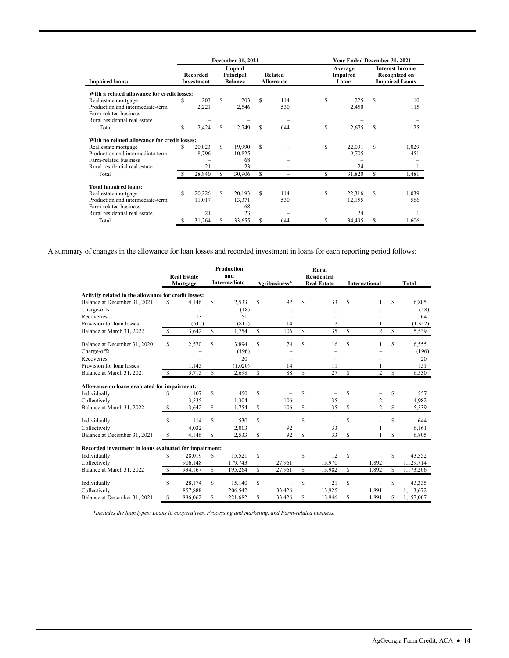|                                                                                                                                                                    |     |                               |     | December 31, 2021                     |                                    |     |                              | Year Ended December 31, 2021 |                                                                  |              |  |  |  |
|--------------------------------------------------------------------------------------------------------------------------------------------------------------------|-----|-------------------------------|-----|---------------------------------------|------------------------------------|-----|------------------------------|------------------------------|------------------------------------------------------------------|--------------|--|--|--|
| <b>Impaired loans:</b>                                                                                                                                             |     | <b>Recorded</b><br>Investment |     | Unpaid<br>Principal<br><b>Balance</b> | <b>Related</b><br><b>Allowance</b> |     | Average<br>Impaired<br>Loans |                              | <b>Interest Income</b><br>Recognized on<br><b>Impaired Loans</b> |              |  |  |  |
| With a related allowance for credit losses:                                                                                                                        |     |                               |     |                                       |                                    |     |                              |                              |                                                                  |              |  |  |  |
| Real estate mortgage                                                                                                                                               | S   | 203                           | S   | 203                                   | S                                  | 114 | S                            | 225                          | <b>S</b>                                                         | 10           |  |  |  |
| Production and intermediate-term                                                                                                                                   |     | 2,221                         |     | 2,546                                 |                                    | 530 |                              | 2,450                        |                                                                  | 115          |  |  |  |
| Farm-related business                                                                                                                                              |     |                               |     |                                       |                                    |     |                              |                              |                                                                  |              |  |  |  |
| Rural residential real estate                                                                                                                                      |     |                               |     |                                       |                                    |     |                              |                              |                                                                  |              |  |  |  |
| Total                                                                                                                                                              | \$. | 2,424                         | S.  | 2,749                                 | S                                  | 644 | S                            | 2,675                        | S                                                                | 125          |  |  |  |
| With no related allowance for credit losses:<br>Real estate mortgage<br>Production and intermediate-term<br>Farm-related business<br>Rural residential real estate | \$. | 20,023<br>8,796<br>21         | S.  | 19,990<br>10,825<br>68<br>23          | \$.                                |     | S                            | 22,091<br>9,705<br>24        | S                                                                | 1,029<br>451 |  |  |  |
| Total                                                                                                                                                              |     | 28,840                        | S.  | 30,906                                | S.                                 |     |                              | 31,820                       | S                                                                | 1,481        |  |  |  |
| Total impaired loans:                                                                                                                                              |     |                               |     |                                       |                                    |     |                              |                              |                                                                  |              |  |  |  |
| Real estate mortgage                                                                                                                                               | S   | 20,226                        | \$. | 20,193                                | S                                  | 114 | S                            | 22,316                       | S                                                                | 1,039        |  |  |  |
| Production and intermediate-term                                                                                                                                   |     | 11,017                        |     | 13,371                                |                                    | 530 |                              | 12,155                       |                                                                  | 566          |  |  |  |
| Farm-related business                                                                                                                                              |     |                               |     | 68                                    |                                    |     |                              |                              |                                                                  |              |  |  |  |
| Rural residential real estate                                                                                                                                      |     | 21                            |     | 23                                    |                                    |     |                              | 24                           |                                                                  |              |  |  |  |
| Total                                                                                                                                                              | \$. | 31,264                        | S   | 33,655                                | S                                  | 644 | S                            | 34,495                       | S                                                                | 1.606        |  |  |  |

A summary of changes in the allowance for loan losses and recorded investment in loans for each reporting period follows:

|                                                        |              | <b>Real Estate</b> |    | <b>Production</b><br>and |              |                          |                    | Rural<br><b>Residential</b> |     |                      |             |           |
|--------------------------------------------------------|--------------|--------------------|----|--------------------------|--------------|--------------------------|--------------------|-----------------------------|-----|----------------------|-------------|-----------|
|                                                        |              | Mortgage           |    | Intermediate-            |              | Agribusiness*            |                    | <b>Real Estate</b>          |     | <b>International</b> |             | Total     |
| Activity related to the allowance for credit losses:   |              |                    |    |                          |              |                          |                    |                             |     |                      |             |           |
| Balance at December 31, 2021                           | S            | 4,146              | S  | 2,533                    | S            | 92                       | S                  | 33                          | S   |                      | S           | 6.805     |
| Charge-offs                                            |              |                    |    | (18)                     |              |                          |                    |                             |     |                      |             | (18)      |
| Recoveries                                             |              | 13                 |    | 51                       |              |                          |                    |                             |     |                      |             | 64        |
| Provision for loan losses                              |              | (517)              |    | (812)                    |              | 14                       |                    | 2                           |     |                      |             | (1,312)   |
| Balance at March 31, 2022                              | \$           | 3,642              | S  | 1,754                    | \$           | 106                      | S                  | 35                          | \$. | $\overline{c}$       | $\mathbf S$ | 5,539     |
| Balance at December 31, 2020                           | S            | 2,570              | S  | 3.894                    | S            | 74                       | S                  | 16                          | \$  |                      | S           | 6,555     |
| Charge-offs                                            |              |                    |    | (196)                    |              |                          |                    |                             |     |                      |             | (196)     |
| Recoveries                                             |              |                    |    | 20                       |              | $\overline{\phantom{0}}$ |                    | $\overline{\phantom{m}}$    |     |                      |             | 20        |
| Provision for loan losses                              |              | 1.145              |    | (1,020)                  |              | 14                       |                    | 11                          |     |                      |             | 151       |
| Balance at March 31, 2021                              | - S          | 3,715              | S  | 2,698                    | $\mathbb{S}$ | 88                       | S                  | 27                          | \$  | $\overline{c}$       | \$          | 6,530     |
| Allowance on loans evaluated for impairment:           |              |                    |    |                          |              |                          |                    |                             |     |                      |             |           |
| Individually                                           | S            | 107                | S  | 450                      | S            |                          | S                  |                             | S   |                      | \$          | 557       |
| Collectively                                           |              | 3,535              |    | 1,304                    |              | 106                      |                    | 35                          |     | $\overline{c}$       |             | 4,982     |
| Balance at March 31, 2022                              | $\mathbb{S}$ | 3,642              | \$ | 1,754                    | \$           | 106                      | S                  | 35                          | S   | $\overline{c}$       | S           | 5,539     |
| Individually                                           | S            | 114                | \$ | 530                      | S            | $\overline{\phantom{0}}$ | S                  | $\overline{\phantom{0}}$    | \$  |                      | S           | 644       |
| Collectively                                           |              | 4,032              |    | 2,003                    |              | 92                       |                    | 33                          |     |                      |             | 6,161     |
| Balance at December 31, 2021                           | \$           | 4.146              | S  | 2,533                    | \$           | 92                       | $\mathbf{\hat{s}}$ | 33                          | \$  |                      | \$.         | 6.805     |
| Recorded investment in loans evaluated for impairment: |              |                    |    |                          |              |                          |                    |                             |     |                      |             |           |
| Individually                                           | S            | 28,019             | \$ | 15,521                   | S            |                          | S                  | 12                          | S   |                      | \$          | 43,552    |
| Collectively                                           |              | 906,148            |    | 179,743                  |              | 27,961                   |                    | 13,970                      |     | 1,892                |             | 1,129,714 |
| Balance at March 31, 2022                              | S            | 934.167            | S  | 195,264                  | \$           | 27,961                   | \$                 | 13,982                      | \$  | 1.892                | \$.         | 1,173,266 |
| Individually                                           | S            | 28.174             | S  | 15.140                   | S            |                          | S                  | 21                          | \$  |                      | \$          | 43,335    |
| Collectively                                           |              | 857,888            |    | 206,542                  |              | 33,426                   |                    | 13.925                      |     | 1.891                |             | 1,113,672 |
| Balance at December 31, 2021                           | S            | 886,062            | S  | 221,682                  | \$           | 33,426                   | S                  | 13,946                      | \$  | 1,891                | \$          | 1,157,007 |

*\*Includes the loan types: Loans to cooperatives, Processing and marketing, and Farm-related business.*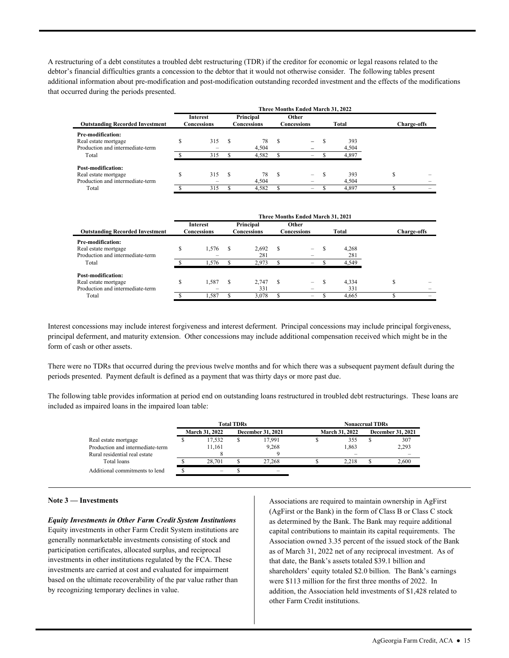that occurred during the periods presented. A restructuring of a debt constitutes a troubled debt restructuring (TDR) if the creditor for economic or legal reasons related to the debtor's financial difficulties grants a concession to the debtor that it would not otherwise consider. The following tables present additional information about pre-modification and post-modification outstanding recorded investment and the effects of the modifications

|                                                                                |                                | Three Months Ended March 31, 2022 |                          |             |                      |                          |       |              |                    |  |  |
|--------------------------------------------------------------------------------|--------------------------------|-----------------------------------|--------------------------|-------------|----------------------|--------------------------|-------|--------------|--------------------|--|--|
| <b>Outstanding Recorded Investment</b>                                         | <b>Interest</b><br>Concessions |                                   | Principal<br>Concessions |             | Other<br>Concessions |                          | Total |              | <b>Charge-offs</b> |  |  |
| Pre-modification:<br>Real estate mortgage<br>Production and intermediate-term  |                                | 315                               | -S                       | 78<br>4.504 | S                    | $-$                      |       | 393<br>4,504 |                    |  |  |
| Total                                                                          |                                | 315                               |                          | 4,582       |                      | $-$                      |       | 4,897        |                    |  |  |
| Post-modification:<br>Real estate mortgage<br>Production and intermediate-term |                                | 315                               | -S                       | 78<br>4.504 | S                    | $\overline{\phantom{0}}$ |       | 393<br>4.504 | J.                 |  |  |
| Total                                                                          |                                | 315                               |                          | 4,582       |                      | -                        |       | 4.897        |                    |  |  |

|                                        |    |                                |    |                          |    | Three Months Ended March 31, 2021 |          |       |                    |  |  |  |  |  |  |  |  |  |
|----------------------------------------|----|--------------------------------|----|--------------------------|----|-----------------------------------|----------|-------|--------------------|--|--|--|--|--|--|--|--|--|
| <b>Outstanding Recorded Investment</b> |    | <b>Interest</b><br>Concessions |    | Principal<br>Concessions |    | Other<br>Concessions              |          | Total | <b>Charge-offs</b> |  |  |  |  |  |  |  |  |  |
| Pre-modification:                      |    |                                |    |                          |    |                                   |          |       |                    |  |  |  |  |  |  |  |  |  |
| Real estate mortgage                   | ה. | 1.576                          | -S | 2.692                    | S  | -                                 |          | 4.268 |                    |  |  |  |  |  |  |  |  |  |
| Production and intermediate-term       |    |                                |    | 281                      |    |                                   |          | 281   |                    |  |  |  |  |  |  |  |  |  |
| Total                                  |    | 1.576                          |    | 2.973                    |    | -                                 |          | 4,549 |                    |  |  |  |  |  |  |  |  |  |
| Post-modification:                     |    |                                |    |                          |    |                                   |          |       |                    |  |  |  |  |  |  |  |  |  |
| Real estate mortgage                   | S  | 1,587                          | -S | 2.747                    | -S | $-$                               | <b>S</b> | 4,334 | a.                 |  |  |  |  |  |  |  |  |  |
| Production and intermediate-term       |    |                                |    | 331                      |    |                                   |          | 331   |                    |  |  |  |  |  |  |  |  |  |
| Total                                  |    | l.587                          |    | 3,078                    |    | -                                 |          | 4,665 |                    |  |  |  |  |  |  |  |  |  |

 Interest concessions may include interest forgiveness and interest deferment. Principal concessions may include principal forgiveness, principal deferment, and maturity extension. Other concessions may include additional compensation received which might be in the form of cash or other assets.

There were no TDRs that occurred during the previous twelve months and for which there was a subsequent payment default during the periods presented. Payment default is defined as a payment that was thirty days or more past due.

 included as impaired loans in the impaired loan table: The following table provides information at period end on outstanding loans restructured in troubled debt restructurings. These loans are

|                                  |                       | <b>Total TDRs</b>        |        | <b>Nonaccrual TDRs</b> |                       |                   |       |  |  |  |
|----------------------------------|-----------------------|--------------------------|--------|------------------------|-----------------------|-------------------|-------|--|--|--|
|                                  | <b>March 31, 2022</b> | <b>December 31, 2021</b> |        |                        | <b>March 31, 2022</b> | December 31, 2021 |       |  |  |  |
| Real estate mortgage             | 17.532                | C                        | 17.991 |                        | 355                   |                   | 307   |  |  |  |
| Production and intermediate-term | 11.161                |                          | 9,268  |                        | 1,863                 |                   | 2,293 |  |  |  |
| Rural residential real estate    |                       |                          |        |                        |                       |                   |       |  |  |  |
| Total loans                      | 28,701                |                          | 27.268 |                        | 2.218                 |                   | 2.600 |  |  |  |
| Additional commitments to lend   |                       |                          |        |                        |                       |                   |       |  |  |  |

#### **Note 3 — Investments**

*Equity Investments in Other Farm Credit System Institutions*  Equity investments in other Farm Credit System institutions are generally nonmarketable investments consisting of stock and participation certificates, allocated surplus, and reciprocal investments in other institutions regulated by the FCA. These investments are carried at cost and evaluated for impairment based on the ultimate recoverability of the par value rather than by recognizing temporary declines in value.

 capital contributions to maintain its capital requirements. The shareholders' equity totaled \$2.0 billion. The Bank's earnings Associations are required to maintain ownership in AgFirst (AgFirst or the Bank) in the form of Class B or Class C stock as determined by the Bank. The Bank may require additional Association owned 3.35 percent of the issued stock of the Bank as of March 31, 2022 net of any reciprocal investment. As of that date, the Bank's assets totaled \$39.1 billion and were \$113 million for the first three months of 2022. In addition, the Association held investments of \$1,428 related to other Farm Credit institutions.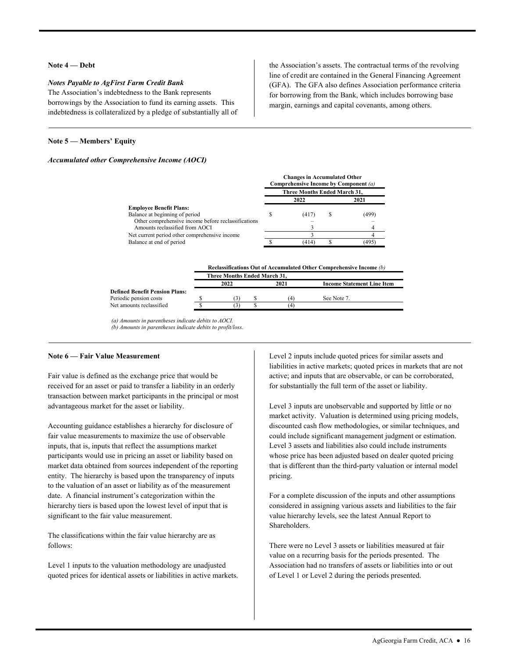#### **Note 4 — Debt**

#### *Notes Payable to AgFirst Farm Credit Bank*

The Association's indebtedness to the Bank represents borrowings by the Association to fund its earning assets. This indebtedness is collateralized by a pledge of substantially all of line of credit are contained in the General Financing Agreement (GFA). The GFA also defines Association performance criteria for borrowing from the Bank, which includes borrowing base margin, earnings and capital covenants, among others.

the Association's assets. The contractual terms of the revolving

#### **Note 5 — Members' Equity**

#### *Accumulated other Comprehensive Income (AOCI)*

|                                                     |                              | <b>Changes in Accumulated Other</b><br>Comprehensive Income by Component (a) |   |      |  |  |  |  |  |
|-----------------------------------------------------|------------------------------|------------------------------------------------------------------------------|---|------|--|--|--|--|--|
|                                                     | Three Months Ended March 31, |                                                                              |   |      |  |  |  |  |  |
|                                                     |                              | 2022                                                                         |   | 2021 |  |  |  |  |  |
| <b>Employee Benefit Plans:</b>                      |                              |                                                                              |   |      |  |  |  |  |  |
| Balance at beginning of period                      |                              | (417)                                                                        | S | 499  |  |  |  |  |  |
| Other comprehensive income before reclassifications |                              |                                                                              |   |      |  |  |  |  |  |
| Amounts reclassified from AOCI                      |                              |                                                                              |   |      |  |  |  |  |  |
| Net current period other comprehensive income       |                              |                                                                              |   |      |  |  |  |  |  |
| Balance at end of period                            |                              | (414                                                                         |   | 1495 |  |  |  |  |  |

|                                       | Reclassifications Out of Accumulated Other Comprehensive Income (b) |      |  |      |                                   |  |  |  |  |  |  |
|---------------------------------------|---------------------------------------------------------------------|------|--|------|-----------------------------------|--|--|--|--|--|--|
|                                       | <b>Three Months Ended March 31.</b>                                 |      |  |      |                                   |  |  |  |  |  |  |
|                                       |                                                                     | 2022 |  | 2021 | <b>Income Statement Line Item</b> |  |  |  |  |  |  |
| <b>Defined Benefit Pension Plans:</b> |                                                                     |      |  |      |                                   |  |  |  |  |  |  |
| Periodic pension costs                |                                                                     |      |  | (4   | See Note 7.                       |  |  |  |  |  |  |
| Net amounts reclassified              |                                                                     |      |  | ΄4   |                                   |  |  |  |  |  |  |
|                                       |                                                                     |      |  |      |                                   |  |  |  |  |  |  |

*(a) Amounts in parentheses indicate debits to AOCI. (b) Amounts in parentheses indicate debits to profit/loss*.

#### **Note 6 — Fair Value Measurement**

Fair value is defined as the exchange price that would be received for an asset or paid to transfer a liability in an orderly transaction between market participants in the principal or most advantageous market for the asset or liability.

Accounting guidance establishes a hierarchy for disclosure of fair value measurements to maximize the use of observable inputs, that is, inputs that reflect the assumptions market participants would use in pricing an asset or liability based on market data obtained from sources independent of the reporting entity. The hierarchy is based upon the transparency of inputs to the valuation of an asset or liability as of the measurement date. A financial instrument's categorization within the hierarchy tiers is based upon the lowest level of input that is significant to the fair value measurement.

The classifications within the fair value hierarchy are as follows:

Level 1 inputs to the valuation methodology are unadjusted quoted prices for identical assets or liabilities in active markets. Level 2 inputs include quoted prices for similar assets and liabilities in active markets; quoted prices in markets that are not active; and inputs that are observable, or can be corroborated, for substantially the full term of the asset or liability.

 Level 3 inputs are unobservable and supported by little or no market activity. Valuation is determined using pricing models, discounted cash flow methodologies, or similar techniques, and could include significant management judgment or estimation. Level 3 assets and liabilities also could include instruments whose price has been adjusted based on dealer quoted pricing that is different than the third-party valuation or internal model pricing.<br>For a complete discussion of the inputs and other assumptions

considered in assigning various assets and liabilities to the fair value hierarchy levels, see the latest Annual Report to Shareholders.

There were no Level 3 assets or liabilities measured at fair value on a recurring basis for the periods presented. The Association had no transfers of assets or liabilities into or out of Level 1 or Level 2 during the periods presented.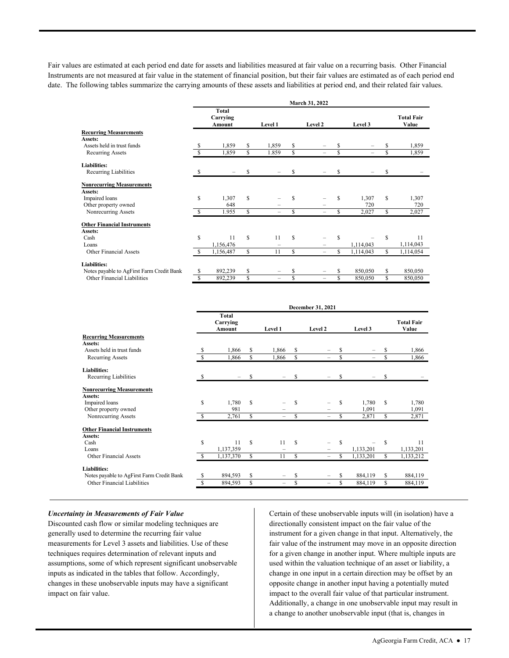date. The following tables summarize the carrying amounts of these assets and liabilities at period end, and their related fair values. Fair values are estimated at each period end date for assets and liabilities measured at fair value on a recurring basis. Other Financial Instruments are not measured at fair value in the statement of financial position, but their fair values are estimated as of each period end

|                                           |    |                             |    |                          |    | March 31, 2022           |    |                          |    |                            |
|-------------------------------------------|----|-----------------------------|----|--------------------------|----|--------------------------|----|--------------------------|----|----------------------------|
|                                           |    | Total<br>Carrying<br>Amount |    | <b>Level 1</b>           |    | Level 2                  |    | Level 3                  |    | <b>Total Fair</b><br>Value |
| <b>Recurring Measurements</b>             |    |                             |    |                          |    |                          |    |                          |    |                            |
| Assets:                                   |    |                             |    |                          |    |                          |    |                          |    |                            |
| Assets held in trust funds                | S  | 1,859                       | \$ | 1,859                    | \$ | -                        | S  |                          | S  | 1,859                      |
| <b>Recurring Assets</b>                   | S  | 1,859                       | \$ | 1.859                    | \$ | -                        | \$ | $\overline{\phantom{0}}$ | \$ | 1,859                      |
| Liabilities:                              |    |                             |    |                          |    |                          |    |                          |    |                            |
| Recurring Liabilities                     |    |                             | \$ |                          | \$ |                          | \$ |                          | S  |                            |
| <b>Nonrecurring Measurements</b>          |    |                             |    |                          |    |                          |    |                          |    |                            |
| Assets:                                   |    |                             |    |                          |    |                          |    |                          |    |                            |
| Impaired loans                            | \$ | 1,307                       | S  |                          | S  |                          | S  | 1,307                    | \$ | 1,307                      |
| Other property owned                      |    | 648                         |    | $\overline{\phantom{m}}$ |    | -                        |    | 720                      |    | 720                        |
| Nonrecurring Assets                       | -S | 1.955                       | S  | $\equiv$                 | S  | $\equiv$                 | S  | 2,027                    | S  | 2,027                      |
| <b>Other Financial Instruments</b>        |    |                             |    |                          |    |                          |    |                          |    |                            |
| Assets:                                   |    |                             |    |                          |    |                          |    |                          |    |                            |
| Cash                                      | \$ | 11                          | S  | 11                       | S  |                          | S  |                          | S  | 11                         |
| Loans                                     |    | 1,156,476                   |    | $\equiv$                 |    |                          |    | 1,114,043                |    | 1,114,043                  |
| <b>Other Financial Assets</b>             |    | 1,156,487                   | \$ | 11                       | S  | -                        | S  | 1,114,043                | S  | 1,114,054                  |
| <b>Liabilities:</b>                       |    |                             |    |                          |    |                          |    |                          |    |                            |
| Notes payable to AgFirst Farm Credit Bank | \$ | 892,239                     | \$ | $\qquad \qquad =$        | S  | -                        | S  | 850,050                  | S  | 850,050                    |
| <b>Other Financial Liabilities</b>        | \$ | 892,239                     | S  | $\overline{\phantom{m}}$ | \$ | $\overline{\phantom{0}}$ | S  | 850,050                  | S  | 850,050                    |

|                                           | December 31, 2021 |                                           |             |                          |    |                          |    |                          |    |                            |
|-------------------------------------------|-------------------|-------------------------------------------|-------------|--------------------------|----|--------------------------|----|--------------------------|----|----------------------------|
|                                           |                   | <b>Total</b><br>Carrying<br><b>Amount</b> |             | Level 1                  |    | Level 2                  |    | Level 3                  |    | <b>Total Fair</b><br>Value |
| <b>Recurring Measurements</b>             |                   |                                           |             |                          |    |                          |    |                          |    |                            |
| Assets:                                   |                   |                                           |             |                          |    |                          |    |                          |    |                            |
| Assets held in trust funds                | S                 | 1,866                                     | S           | 1,866                    | \$ |                          |    |                          | \$ | 1,866                      |
| <b>Recurring Assets</b>                   | S                 | 1,866                                     | \$.         | 1,866                    | \$ |                          | \$ | $\overline{\phantom{0}}$ | \$ | 1,866                      |
| Liabilities:                              |                   |                                           |             |                          |    |                          |    |                          |    |                            |
| Recurring Liabilities                     | S                 |                                           | S           |                          | \$ |                          | S  |                          | \$ |                            |
| <b>Nonrecurring Measurements</b>          |                   |                                           |             |                          |    |                          |    |                          |    |                            |
| Assets:                                   |                   |                                           |             |                          |    |                          |    |                          |    |                            |
| Impaired loans                            | \$                | 1,780                                     | \$          |                          | \$ |                          | S  | 1,780                    | \$ | 1,780                      |
| Other property owned                      |                   | 981                                       |             |                          |    |                          |    | 1,091                    |    | 1,091                      |
| Nonrecurring Assets                       | \$.               | 2,761                                     | \$.         | -                        | S  | $\equiv$                 | S  | 2,871                    | \$ | 2,871                      |
| <b>Other Financial Instruments</b>        |                   |                                           |             |                          |    |                          |    |                          |    |                            |
| Assets:                                   |                   |                                           |             |                          |    |                          |    |                          |    |                            |
| Cash                                      | S                 | 11                                        | $\mathbf S$ | 11                       | S  | $\overline{\phantom{0}}$ | S  |                          | S  | 11                         |
| Loans                                     |                   | 1,137,359                                 |             |                          |    |                          |    | 1,133,201                |    | 1,133,201                  |
| Other Financial Assets                    | \$.               | 1,137,370                                 | \$          | 11                       | \$ | $\overline{\phantom{0}}$ | S  | 1,133,201                | \$ | 1,133,212                  |
| <b>Liabilities:</b>                       |                   |                                           |             |                          |    |                          |    |                          |    |                            |
| Notes payable to AgFirst Farm Credit Bank | S                 | 894,593                                   | \$          | $\equiv$                 | \$ |                          | S  | 884,119                  | \$ | 884,119                    |
| Other Financial Liabilities               | S                 | 894,593                                   | \$          | $\overline{\phantom{0}}$ | \$ | $\overline{\phantom{0}}$ | \$ | 884,119                  | \$ | 884,119                    |

#### *Uncertainty in Measurements of Fair Value*

Discounted cash flow or similar modeling techniques are generally used to determine the recurring fair value measurements for Level 3 assets and liabilities. Use of these techniques requires determination of relevant inputs and assumptions, some of which represent significant unobservable inputs as indicated in the tables that follow. Accordingly, changes in these unobservable inputs may have a significant impact on fair value.

Certain of these unobservable inputs will (in isolation) have a directionally consistent impact on the fair value of the instrument for a given change in that input. Alternatively, the fair value of the instrument may move in an opposite direction for a given change in another input. Where multiple inputs are used within the valuation technique of an asset or liability, a change in one input in a certain direction may be offset by an opposite change in another input having a potentially muted impact to the overall fair value of that particular instrument. Additionally, a change in one unobservable input may result in a change to another unobservable input (that is, changes in